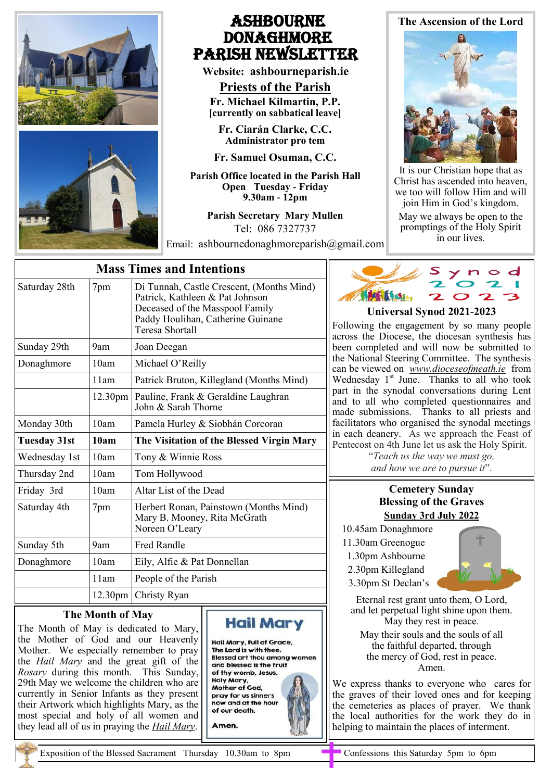

# Ashbourne **DONAGHMORE** Parish NEWSLETTER

**Website: ashbourneparish.ie**

**Priests of the Parish Fr. Michael Kilmartin, P.P. [currently on sabbatical leave]**

**Fr. Ciarán Clarke, C.C. Administrator pro tem**

**Fr. Samuel Osuman, C.C.**

**Parish Office located in the Parish Hall Open Tuesday - Friday 9.30am - 12pm**

**Parish Secretary Mary Mullen** Tel: 086 7327737

Email: ashbournedonaghmoreparish@gmail.com

# **The Ascension of the Lord**



It is our Christian hope that as Christ has ascended into heaven, we too will follow Him and will join Him in God's kingdom.

May we always be open to the promptings of the Holy Spirit in our lives.

| <b>Mass Times and Intentions</b> |                     |                                                                                                                                                                                |  |
|----------------------------------|---------------------|--------------------------------------------------------------------------------------------------------------------------------------------------------------------------------|--|
| Saturday 28th                    | 7pm                 | Di Tunnah, Castle Crescent, (Months Mind)<br>Patrick, Kathleen & Pat Johnson<br>Deceased of the Masspool Family<br>Paddy Houlihan, Catherine Guinane<br><b>Teresa Shortall</b> |  |
| Sunday 29th                      | 9am                 | Joan Deegan                                                                                                                                                                    |  |
| Donaghmore                       | 10am                | Michael O'Reilly                                                                                                                                                               |  |
|                                  | 11am                | Patrick Bruton, Killegland (Months Mind)                                                                                                                                       |  |
|                                  | 12.30 <sub>pm</sub> | Pauline, Frank & Geraldine Laughran<br>John & Sarah Thorne                                                                                                                     |  |
| Monday 30th                      | 10am                | Pamela Hurley & Siobhán Corcoran                                                                                                                                               |  |
| <b>Tuesday 31st</b>              | 10am                | The Visitation of the Blessed Virgin Mary                                                                                                                                      |  |
| Wednesday 1st                    | 10am                | Tony & Winnie Ross                                                                                                                                                             |  |
|                                  |                     |                                                                                                                                                                                |  |
| Thursday 2nd                     | 10am                | Tom Hollywood                                                                                                                                                                  |  |
| Friday 3rd                       | 10am                | Altar List of the Dead                                                                                                                                                         |  |
| Saturday 4th                     | 7pm                 | Herbert Ronan, Painstown (Months Mind)<br>Mary B. Mooney, Rita McGrath<br>Noreen O'Leary                                                                                       |  |
| Sunday 5th                       | 9am                 | <b>Fred Randle</b>                                                                                                                                                             |  |
| Donaghmore                       | 10am                | Eily, Alfie & Pat Donnellan                                                                                                                                                    |  |
|                                  | 11am                | People of the Parish                                                                                                                                                           |  |

## **The Month of May**

The Month of May is dedicated to Mary, the Mother of God and our Heavenly Mother. We especially remember to pray the *Hail Mary* and the great gift of the *Rosary* during this month. This Sunday, 29th May we welcome the children who are currently in Senior Infants as they present their Artwork which highlights Mary, as the most special and holy of all women and they lead all of us in praying the *Hail Mary*.

Hail Mary

Hail Mary, Full of Grace, The Lord is with thee. **Blessed art thou among women** and blessed is the fruit of thy womb, Jesus. Holy Mary, Mother of God, pray for us sinners now and at the hour of our death. Amen.



#### **Universal Synod 2021-2023**

Following the engagement by so many people across the Diocese, the diocesan synthesis has been completed and will now be submitted to the National Steering Committee. The synthesis can be viewed on *[www.dioceseofmeath.ie](http://www.dioceseofmeath.ie/)* from Wednesday 1<sup>st</sup> June. Thanks to all who took part in the synodal conversations during Lent and to all who completed questionnaires and made submissions. Thanks to all priests and facilitators who organised the synodal meetings in each deanery. As we approach the Feast of Pentecost on 4th June let us ask the Holy Spirit.

> "*Teach us the way we must go, and how we are to pursue it*".

### **Cemetery Sunday Blessing of the Graves Sunday 3rd July 2022**

- 10.45am Donaghmore
- 11.30am Greenogue
- 1.30pm Ashbourne
- 2.30pm Killegland
- 3.30pm St Declan's

Eternal rest grant unto them, O Lord, and let perpetual light shine upon them. May they rest in peace.

May their souls and the souls of all the faithful departed, through the mercy of God, rest in peace. Amen.

We express thanks to everyone who cares for the graves of their loved ones and for keeping the cemeteries as places of prayer. We thank the local authorities for the work they do in helping to maintain the places of interment.